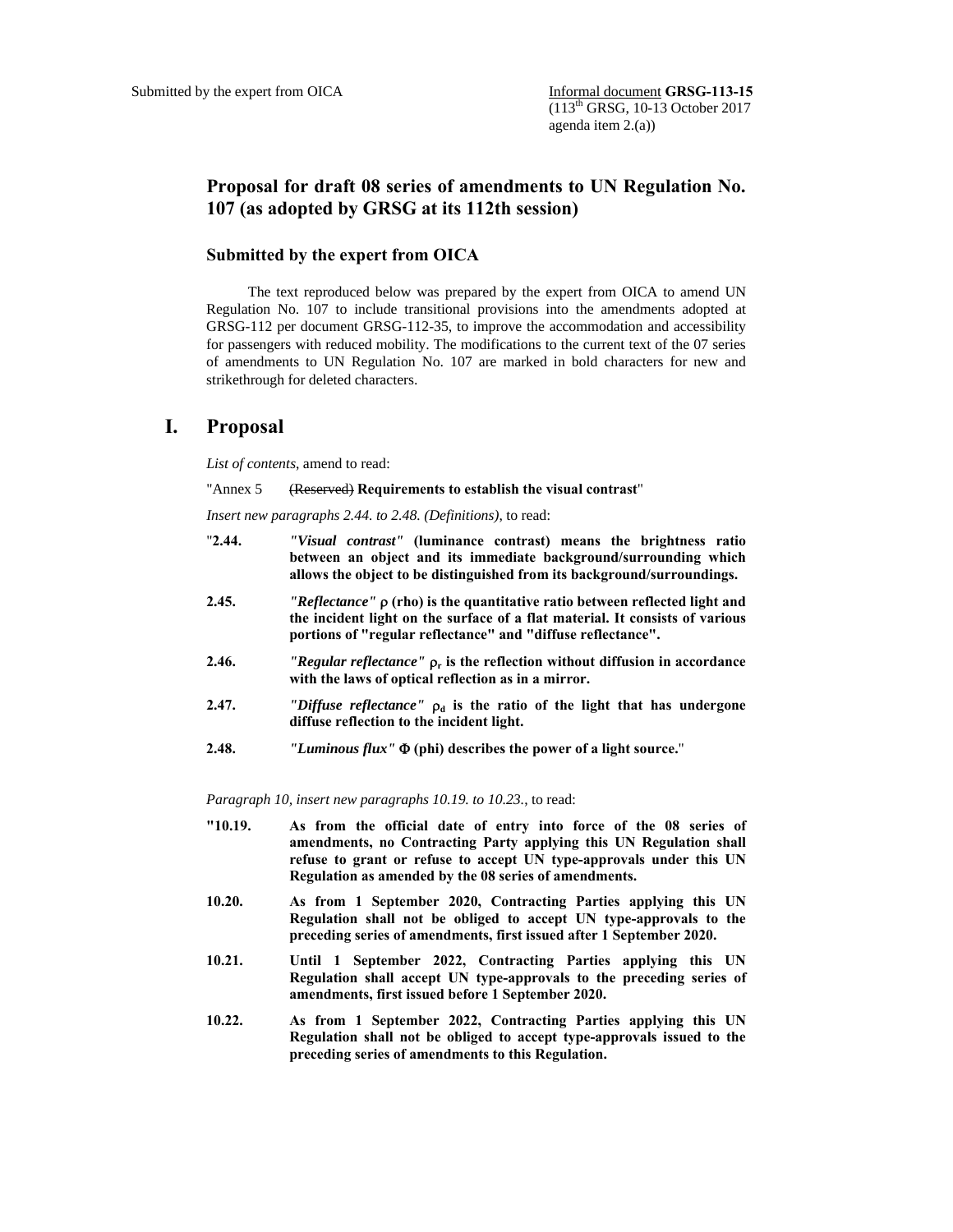# **Proposal for draft 08 series of amendments to UN Regulation No. 107 (as adopted by GRSG at its 112th session)**

## **Submitted by the expert from OICA**

The text reproduced below was prepared by the expert from OICA to amend UN Regulation No. 107 to include transitional provisions into the amendments adopted at GRSG-112 per document GRSG-112-35, to improve the accommodation and accessibility for passengers with reduced mobility. The modifications to the current text of the 07 series of amendments to UN Regulation No. 107 are marked in bold characters for new and strikethrough for deleted characters.

## **I. Proposal**

*List of contents*, amend to read:

#### "Annex 5 (Reserved) **Requirements to establish the visual contrast**"

*Insert new paragraphs 2.44. to 2.48. (Definitions)*, to read:

| "2.44. | "Visual contrast" (luminance contrast) means the brightness ratio<br>between an object and its immediate background/surrounding which<br>allows the object to be distinguished from its background/surroundings.                        |
|--------|-----------------------------------------------------------------------------------------------------------------------------------------------------------------------------------------------------------------------------------------|
| 2.45.  | <i>"Reflectance"</i> $\rho$ (rho) is the quantitative ratio between reflected light and<br>the incident light on the surface of a flat material. It consists of various<br>portions of "regular reflectance" and "diffuse reflectance". |
| 2.46.  | <i>"Regular reflectance"</i> $\rho_r$ is the reflection without diffusion in accordance<br>with the laws of optical reflection as in a mirror.                                                                                          |
| 2.47.  | "Diffuse reflectance" $\rho_d$ is the ratio of the light that has undergone<br>diffuse reflection to the incident light.                                                                                                                |
| 2.48.  | "Luminous flux" $\Phi$ (phi) describes the power of a light source."                                                                                                                                                                    |

*Paragraph 10, insert new paragraphs 10.19. to 10.23.*, to read:

- **"10.19. As from the official date of entry into force of the 08 series of amendments, no Contracting Party applying this UN Regulation shall refuse to grant or refuse to accept UN type-approvals under this UN Regulation as amended by the 08 series of amendments.**
- **10.20. As from 1 September 2020, Contracting Parties applying this UN Regulation shall not be obliged to accept UN type-approvals to the preceding series of amendments, first issued after 1 September 2020.**
- **10.21. Until 1 September 2022, Contracting Parties applying this UN Regulation shall accept UN type-approvals to the preceding series of amendments, first issued before 1 September 2020.**
- **10.22. As from 1 September 2022, Contracting Parties applying this UN Regulation shall not be obliged to accept type-approvals issued to the preceding series of amendments to this Regulation.**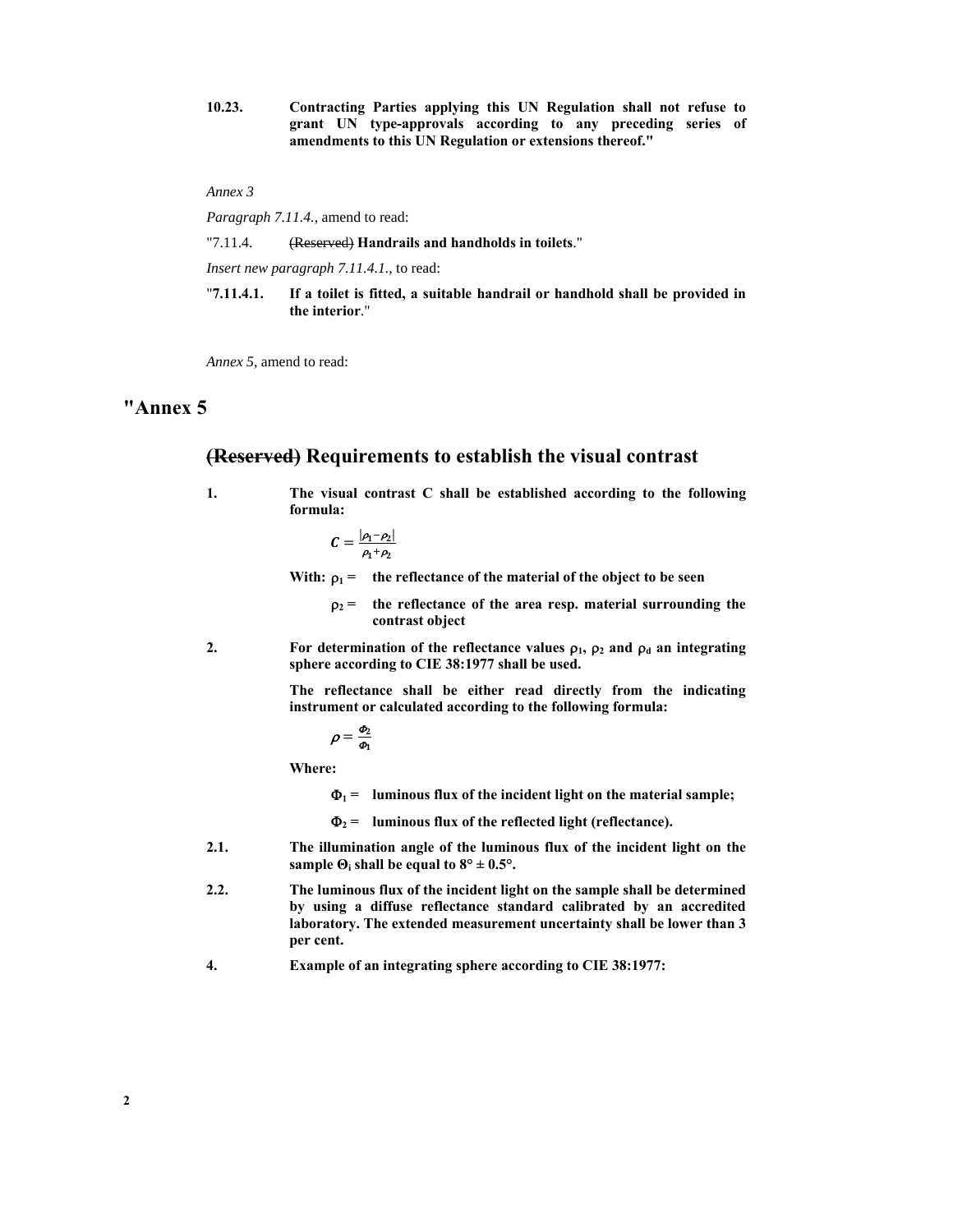**10.23. Contracting Parties applying this UN Regulation shall not refuse to grant UN type-approvals according to any preceding series of amendments to this UN Regulation or extensions thereof."**

#### *Annex 3*

*Paragraph 7.11.4.,* amend to read:

"7.11.4. (Reserved) **Handrails and handholds in toilets**."

*Insert new paragraph 7.11.4.1.*, to read:

"**7.11.4.1. If a toilet is fitted, a suitable handrail or handhold shall be provided in the interior**."

*Annex 5,* amend to read:

# **"Annex 5**

### **(Reserved) Requirements to establish the visual contrast**

**1. The visual contrast C shall be established according to the following formula:** 

$$
\mathcal{C}=\frac{|\rho_1-\rho_2|}{\rho_1+\rho_2}
$$

With:  $\rho_1$  = the reflectance of the material of the object to be seen

- $\rho_2$  = the reflectance of the area resp. material surrounding the **contrast object**
- **2.** For determination of the reflectance values  $\rho_1$ ,  $\rho_2$  and  $\rho_d$  an integrating **sphere according to CIE 38:1977 shall be used.**

 **The reflectance shall be either read directly from the indicating instrument or calculated according to the following formula:** 

$$
\rho=\frac{\varPhi_2}{\varPhi_1}
$$

 **Where:** 

 $\Phi_1$  = luminous flux of the incident light on the material sample;

 $\Phi_2$  = luminous flux of the reflected light (reflectance).

- **2.1. The illumination angle of the luminous flux of the incident light on the sample**  $\Theta$  shall be equal to  $8^\circ \pm 0.5^\circ$ .
- **2.2. The luminous flux of the incident light on the sample shall be determined by using a diffuse reflectance standard calibrated by an accredited laboratory. The extended measurement uncertainty shall be lower than 3 per cent.**
- **4. Example of an integrating sphere according to CIE 38:1977:**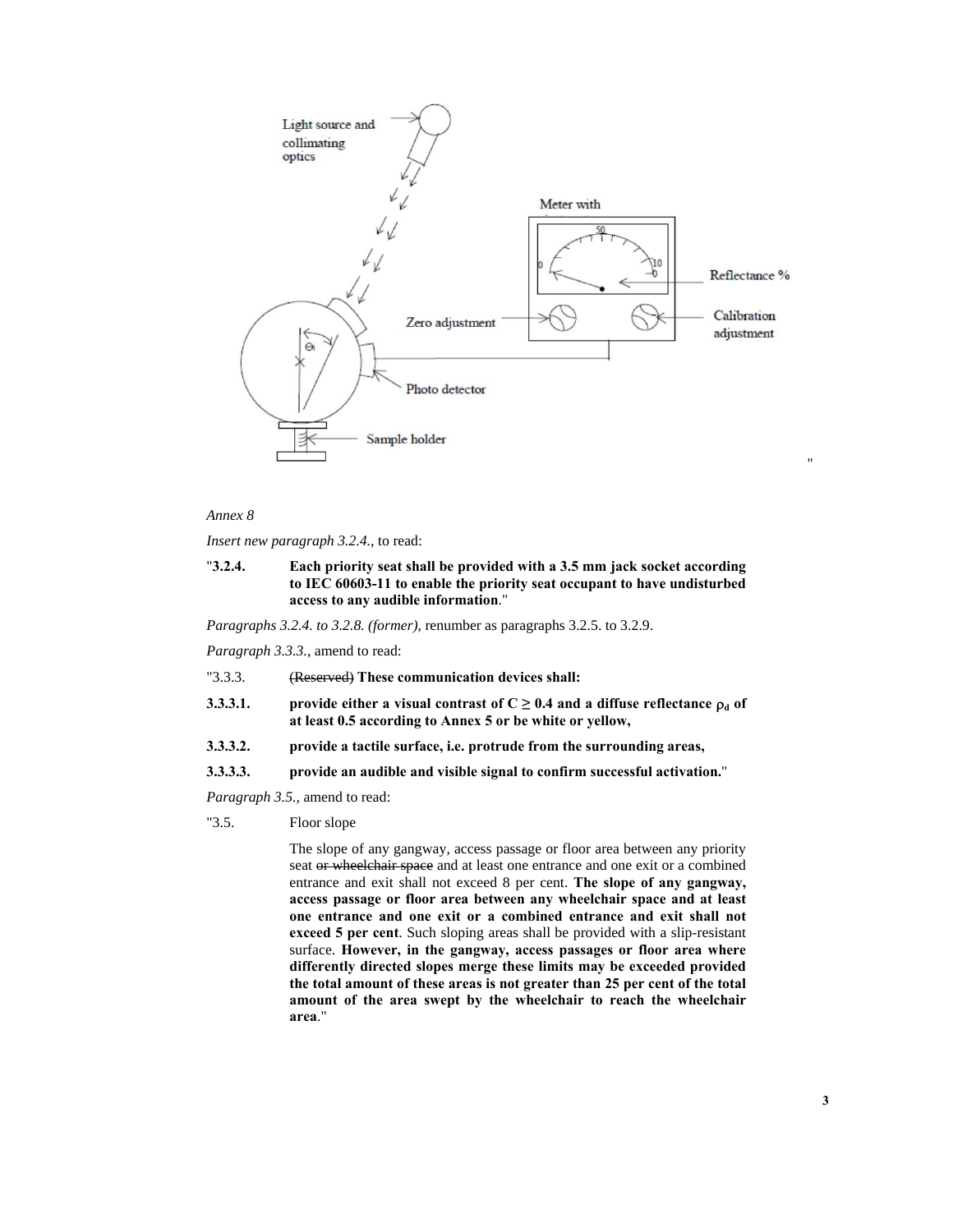

#### *Annex 8*

*Insert new paragraph 3.2.4.*, to read:

### "**3.2.4. Each priority seat shall be provided with a 3.5 mm jack socket according to IEC 60603-11 to enable the priority seat occupant to have undisturbed access to any audible information**."

*Paragraphs 3.2.4. to 3.2.8. (former)*, renumber as paragraphs 3.2.5. to 3.2.9.

*Paragraph 3.3.3.*, amend to read:

- "3.3.3. (Reserved) **These communication devices shall:**
- **3.3.3.1.** provide either a visual contrast of  $C \ge 0.4$  and a diffuse reflectance  $\rho_d$  of **at least 0.5 according to Annex 5 or be white or yellow,**
- **3.3.3.2. provide a tactile surface, i.e. protrude from the surrounding areas,**
- **3.3.3.3. provide an audible and visible signal to confirm successful activation.**"

*Paragraph 3.5.,* amend to read:

"3.5. Floor slope

 The slope of any gangway, access passage or floor area between any priority seat or wheelchair space and at least one entrance and one exit or a combined entrance and exit shall not exceed 8 per cent. **The slope of any gangway, access passage or floor area between any wheelchair space and at least one entrance and one exit or a combined entrance and exit shall not exceed 5 per cent**. Such sloping areas shall be provided with a slip-resistant surface. **However, in the gangway, access passages or floor area where differently directed slopes merge these limits may be exceeded provided the total amount of these areas is not greater than 25 per cent of the total amount of the area swept by the wheelchair to reach the wheelchair area**."